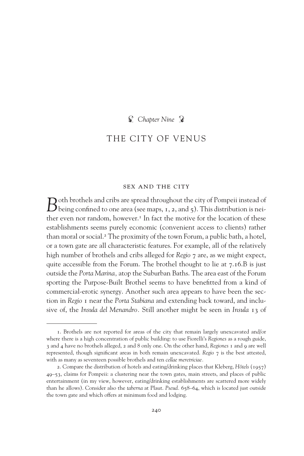## $\mathcal{C}$  Chapter Nine  $\mathcal{D}$

## THE CITY OF VENUS

## SEX AND THE CITY

 $B$ oth brothels and cribs are spread throughout the city of Pompeii instead of being confined to one area (see maps, 1, 2, and 5). This distribution is neither even nor random, however.<sup>1</sup> In fact the motive for the location of these establishments seems purely economic (convenient access to clients) rather than moral or social.2 The proximity of the town Forum, a public bath, a hotel, or a town gate are all characteristic features. For example, all of the relatively high number of brothels and cribs alleged for *Regio* 7 are, as we might expect, quite accessible from the Forum. The brothel thought to lie at 7.16.B is just outside the *Porta Marina,* atop the Suburban Baths. The area east of the Forum sporting the Purpose-Built Brothel seems to have benefitted from a kind of commercial-erotic synergy. Another such area appears to have been the section in *Regio* 1 near the *Porta Stabiana* and extending back toward, and inclusive of, the *Insula del Menandro.* Still another might be seen in *Insula* 13 of

<sup>1.</sup> Brothels are not reported for areas of the city that remain largely unexcavated and/or where there is a high concentration of public building: to use Fiorelli's *Regiones* as a rough guide, 3 and 4 have no brothels alleged, 2 and 8 only one. On the other hand, *Regiones* 1 and 9 are well represented, though significant areas in both remain unexcavated. *Regio* 7 is the best attested, with as many as seventeen possible brothels and ten *cellae meretriciae.*

<sup>2.</sup> Compare the distribution of hotels and eating/drinking places that Kleberg, *Hôtels* (1957) 49–53, claims for Pompeii: a clustering near the town gates, main streets, and places of public entertainment (in my view, however, eating/drinking establishments are scattered more widely than he allows). Consider also the *taberna* at Plaut. *Pseud.* 658–64, which is located just outside the town gate and which offers at minimum food and lodging.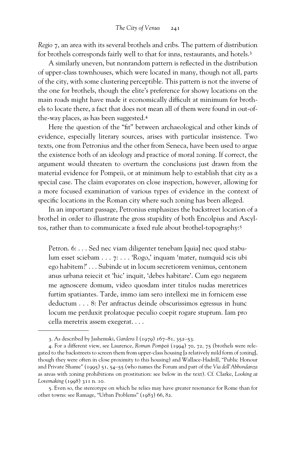*Regio* 7, an area with its several brothels and cribs. The pattern of distribution for brothels corresponds fairly well to that for inns, restaurants, and hotels.<sup>3</sup>

A similarly uneven, but nonrandom pattern is reflected in the distribution of upper-class townhouses, which were located in many, though not all, parts of the city, with some clustering perceptible. This pattern is not the inverse of the one for brothels, though the elite's preference for showy locations on the main roads might have made it economically difficult at minimum for brothels to locate there, a fact that does not mean all of them were found in out-ofthe-way places, as has been suggested.4

Here the question of the "fit" between archaeological and other kinds of evidence, especially literary sources, arises with particular insistence. Two texts, one from Petronius and the other from Seneca, have been used to argue the existence both of an ideology and practice of moral zoning. If correct, the argument would threaten to overturn the conclusions just drawn from the material evidence for Pompeii, or at minimum help to establish that city as a special case. The claim evaporates on close inspection, however, allowing for a more focused examination of various types of evidence in the context of specific locations in the Roman city where such zoning has been alleged.

In an important passage, Petronius emphasizes the backstreet location of a brothel in order to illustrate the gross stupidity of both Encolpius and Ascyltos, rather than to communicate a fixed rule about brothel-topography:<sup>5</sup>

Petron. 6: . . . Sed nec viam diligenter tenebam [quia] nec quod stabulum esset sciebam . . . 7: . . . 'Rogo,' inquam 'mater, numquid scis ubi ego habitem?' . . . Subinde ut in locum secretiorem venimus, centonem anus urbana reiecit et 'hic' inquit, 'debes habitare'. Cum ego negarem me agnoscere domum, video quosdam inter titulos nudas meretrices furtim spatiantes. Tarde, immo iam sero intellexi me in fornicem esse deductum . . . 8: Per anfractus deinde obscurissimos egressus in hunc locum me perduxit prolatoque peculio coepit rogare stuprum. Iam pro cella meretrix assem exegerat. . . .

<sup>3.</sup> As described by Jashemski, *Gardens* I (1979) 167–81, 352–53.

<sup>4.</sup> For a different view, see Laurence, *Roman Pompeii* (1994) 70, 72, 75 (brothels were relegated to the backstreets to screen them from upper-class housing [a relatively mild form of zoning], though they were often in close proximity to this housing) and Wallace-Hadrill, "Public Honour and Private Shame" (1995) 51, 54–55 (who names the Forum and part of the *Via dell'Abbondanza* as areas with zoning prohibitions on prostitution: see below in the text). Cf. Clarke, *Looking at Lovemaking* (1998) 311 n. 10.

<sup>5.</sup> Even so, the stereotype on which he relies may have greater resonance for Rome than for other towns: see Ramage, "Urban Problems" (1983) 66, 82.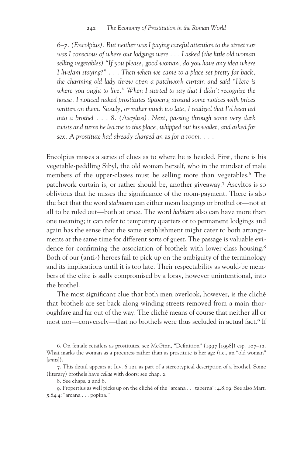*6–7. (Encolpius). But neither was I paying careful attention to the street nor was I conscious of where our lodgings were . . . I asked (the little old woman selling vegetables) "If you please, good woman, do you have any idea where I live/am staying?" . . . Then when we came to a place set pretty far back, the charming old lady threw open a patchwork curtain and said "Here is where you ought to live." When I started to say that I didn't recognize the house, I noticed naked prostitutes tiptoeing around some notices with prices written on them. Slowly, or rather much too late, I realized that I'd been led into a brothel . . . 8. (Ascyltos). Next, passing through some very dark twists and turns he led me to this place, whipped out his wallet, and asked for sex. A prostitute had already charged an* as *for a room. . . .* 

Encolpius misses a series of clues as to where he is headed. First, there is his vegetable-peddling Sibyl, the old woman herself, who in the mindset of male members of the upper-classes must be selling more than vegetables.<sup>6</sup> The patchwork curtain is, or rather should be, another giveaway.7 Ascyltos is so oblivious that he misses the significance of the room-payment. There is also the fact that the word *stabulum* can either mean lodgings or brothel or—not at all to be ruled out—both at once. The word *habitare* also can have more than one meaning; it can refer to temporary quarters or to permanent lodgings and again has the sense that the same establishment might cater to both arrangements at the same time for different sorts of guest. The passage is valuable evidence for confirming the association of brothels with lower-class housing.<sup>8</sup> Both of our (anti-) heroes fail to pick up on the ambiguity of the terminology and its implications until it is too late. Their respectability as would-be members of the elite is sadly compromised by a foray, however unintentional, into the brothel.

The most significant clue that both men overlook, however, is the cliché that brothels are set back along winding streets removed from a main thoroughfare and far out of the way. The cliché means of course that neither all or most nor—conversely—that no brothels were thus secluded in actual fact.9 If

<sup>6.</sup> On female retailers as prostitutes, see McGinn, "Definition" (1997 [1998]) esp. 107–12. What marks the woman as a procuress rather than as prostitute is her age (i.e., an "old woman" [*anus*]).

<sup>7.</sup> This detail appears at Iuv. 6.121 as part of a stereotypical description of a brothel. Some (literary) brothels have *cellae* with doors: see chap. 2.

<sup>8.</sup> See chaps. 2 and 8.

<sup>9.</sup> Propertius as well picks up on the cliché of the "arcana . . . taberna": 4.8.19. See also Mart. 5.84.4: "arcana . . . popina."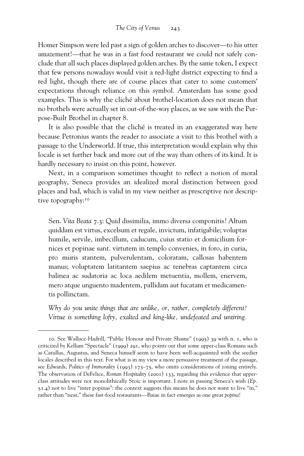Homer Simpson were led past a sign of golden arches to discover—to his utter amazement!—that he was in a fast food restaurant we could not safely conclude that all such places displayed golden arches. By the same token, I expect that few persons nowadays would visit a red-light district expecting to find a red light, though there are of course places that cater to some customers' expectations through reliance on this symbol. Amsterdam has some good examples. This is why the cliché about brothel-location does not mean that no brothels were actually set in out-of-the-way places, as we saw with the Purpose-Built Brothel in chapter 8.

It is also possible that the cliché is treated in an exaggerated way here because Petronius wants the reader to associate a visit to this brothel with a passage to the Underworld. If true, this interpretation would explain why this locale is set further back and more out of the way than others of its kind. It is hardly necessary to insist on this point, however.

Next, in a comparison sometimes thought to reflect a notion of moral geography, Seneca provides an idealized moral distinction between good places and bad, which is valid in my view neither as prescriptive nor descriptive topography:<sup>10</sup>

Sen. *Vita Beata* 7.3: Quid dissimilia, immo diversa componitis? Altum quiddam est virtus, excelsum et regale, invictum, infatigabile; voluptas humile, servile, imbecillum, caducum, cuius statio et domicilium fornices et popinae sunt. virtutem in templo convenies, in foro, in curia, pro muris stantem, pulverulentam, coloratam, callosas habentem manus; voluptatem latitantem saepius ac tenebras captantem circa balinea ac sudatoria ac loca aedilem metuentia, mollem, enervem, mero atque unguento madentem, pallidam aut fucatam et medicamentis pollinctam.

*Why do you unite things that are unlike, or, rather, completely different? Virtue is something lofty, exalted and king-like, undefeated and untiring.*

<sup>10.</sup> See Wallace-Hadrill, "Public Honour and Private Shame" (1995) 39 with n. 1, who is criticized by Kellum "Spectacle" (1999) 291, who points out that some upper-class Romans such as Catullus, Augustus, and Seneca himself seem to have been well-acquainted with the seedier locales described in this text. For what is in my view a more persuasive treatment of the passage, see Edwards, *Politics of Immorality* (1993) 173–75, who omits considerations of zoning entirely. The observation of DeFelice, *Roman Hospitality* (2001) 133, regarding this evidence that upperclass attitudes were not monolithically Stoic is important. I note in passing Seneca's wish (*Ep.* 51.4) not to live "inter popinas": the context suggests this means he does not want to live "in," rather than "near," these fast-food restaurants—Baiae in fact emerges as one great *popina*!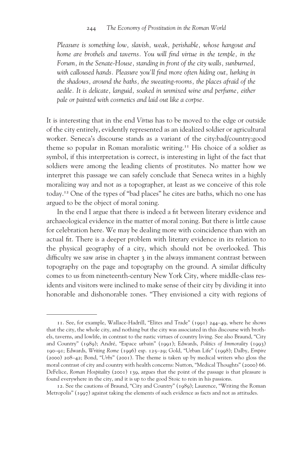*Pleasure is something low, slavish, weak, perishable, whose hangout and home are brothels and taverns. You will ‹nd virtue in the temple, in the Forum, in the Senate-House, standing in front of the city walls, sunburned,* with calloused hands. Pleasure you'll find more often hiding out, lurking in *the shadows, around the baths, the sweating-rooms, the places afraid of the aedile. It is delicate, languid, soaked in unmixed wine and perfume, either pale or painted with cosmetics and laid out like a corpse.*

It is interesting that in the end *Virtus* has to be moved to the edge or outside of the city entirely, evidently represented as an idealized soldier or agricultural worker. Seneca's discourse stands as a variant of the city:bad/country:good theme so popular in Roman moralistic writing.11 His choice of a soldier as symbol, if this interpretation is correct, is interesting in light of the fact that soldiers were among the leading clients of prostitutes. No matter how we interpret this passage we can safely conclude that Seneca writes in a highly moralizing way and not as a topographer, at least as we conceive of this role today.12 One of the types of "bad places" he cites are baths, which no one has argued to be the object of moral zoning.

In the end I argue that there is indeed a fit between literary evidence and archaeological evidence in the matter of moral zoning. But there is little cause for celebration here. We may be dealing more with coincidence than with an actual fit. There is a deeper problem with literary evidence in its relation to the physical geography of a city, which should not be overlooked. This difficulty we saw arise in chapter 3 in the always immanent contrast between topography on the page and topography on the ground. A similar difficulty comes to us from nineteenth-century New York City, where middle-class residents and visitors were inclined to make sense of their city by dividing it into honorable and dishonorable zones. "They envisioned a city with regions of

<sup>11.</sup> See, for example, Wallace-Hadrill, "Elites and Trade" (1991) 244–49, where he shows that the city, the whole city, and nothing but the city was associated in this discourse with brothels, taverns, and lowlife, in contrast to the rustic virtues of country living. See also Braund, "City and Country" (1989); André, "Espace urbain" (1991); Edwards, *Politics of Immorality* (1993) 190–91; Edwards, *Writing Rome* (1996) esp. 125–29; Gold, "Urban Life" (1998); Dalby, *Empire* (2000) 208–42; Bond, "*Urbs*" (2001). The theme is taken up by medical writers who gloss the moral contrast of city and country with health concerns: Nutton, "Medical Thoughts" (2000) 66. DeFelice, *Roman Hospitality* (2001) 139, argues that the point of the passage is that pleasure is found everywhere in the city, and it is up to the good Stoic to rein in his passions.

<sup>12.</sup> See the cautions of Braund, "City and Country" (1989); Laurence, "Writing the Roman Metropolis" (1997) against taking the elements of such evidence as facts and not as attitudes.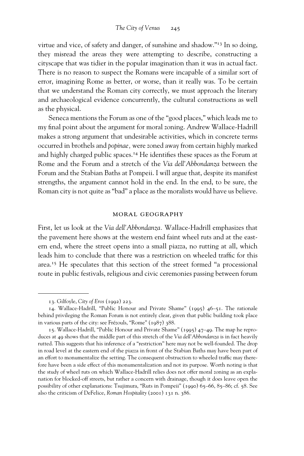virtue and vice, of safety and danger, of sunshine and shadow."13 In so doing, they misread the areas they were attempting to describe, constructing a cityscape that was tidier in the popular imagination than it was in actual fact. There is no reason to suspect the Romans were incapable of a similar sort of error, imagining Rome as better, or worse, than it really was. To be certain that we understand the Roman city correctly, we must approach the literary and archaeological evidence concurrently, the cultural constructions as well as the physical.

Seneca mentions the Forum as one of the "good places," which leads me to my final point about the argument for moral zoning. Andrew Wallace-Hadrill makes a strong argument that undesirable activities, which in concrete terms occurred in brothels and *popinae,* were zoned away from certain highly marked and highly charged public spaces.<sup>14</sup> He identifies these spaces as the Forum at Rome and the Forum and a stretch of the *Via dell'Abbondanza* between the Forum and the Stabian Baths at Pompeii. I will argue that, despite its manifest strengths, the argument cannot hold in the end. In the end, to be sure, the Roman city is not quite as "bad" a place as the moralists would have us believe.

## moral geography

First, let us look at the *Via dell'Abbondanza.* Wallace-Hadrill emphasizes that the pavement here shows at the western end faint wheel ruts and at the eastern end, where the street opens into a small piazza, no rutting at all, which leads him to conclude that there was a restriction on wheeled traffic for this area.15 He speculates that this section of the street formed "a processional route in public festivals, religious and civic ceremonies passing between forum

<sup>13.</sup> Gilfoyle, *City of Eros* (1992) 223.

<sup>14.</sup> Wallace-Hadrill, "Public Honour and Private Shame" (1995) 46–51. The rationale behind privileging the Roman Forum is not entirely clear, given that public building took place in various parts of the city: see Frézouls, "Rome" (1987) 388.

<sup>15.</sup> Wallace-Hadrill, "Public Honour and Private Shame" (1995) 47–49. The map he reproduces at 49 shows that the middle part of this stretch of the *Via dell'Abbondanza* is in fact heavily rutted. This suggests that his inference of a "restriction" here may not be well-founded. The drop in road level at the eastern end of the piazza in front of the Stabian Baths may have been part of an effort to monumentalize the setting. The consequent obstruction to wheeled traffic may therefore have been a side effect of this monumentalization and not its purpose. Worth noting is that the study of wheel ruts on which Wallace-Hadrill relies does not offer moral zoning as an explanation for blocked-off streets, but rather a concern with drainage, though it does leave open the possibility of other explanations: Tsujimura, "Ruts in Pompeii" (1990) 65–66, 85–86; cf. 58. See also the criticism of DeFelice, *Roman Hospitality* (2001) 131 n. 386.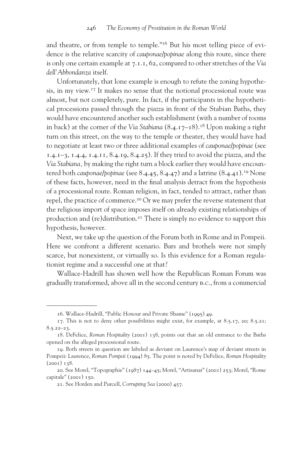and theatre, or from temple to temple."16 But his most telling piece of evidence is the relative scarcity of *cauponae/popinae* along this route, since there is only one certain example at 7.1.1, 62, compared to other stretches of the *Via dell'Abbondanza* itself.

Unfortunately, that lone example is enough to refute the zoning hypothesis, in my view.17 It makes no sense that the notional processional route was almost, but not completely, pure. In fact, if the participants in the hypothetical processions passed through the piazza in front of the Stabian Baths, they would have encountered another such establishment (with a number of rooms in back) at the corner of the *Via Stabiana* (8.4.17–18).18 Upon making a right turn on this street, on the way to the temple or theater, they would have had to negotiate at least two or three additional examples of *cauponae/popinae* (see 1.4.1–3, 1.4.4, 1.4.11, 8.4.19, 8.4.25). If they tried to avoid the piazza, and the *Via Stabiana,* by making the right turn a block earlier they would have encountered both *cauponae/popinae* (see 8.4.45, 8.4.47) and a latrine (8.4.41).19 None of these facts, however, need in the final analysis detract from the hypothesis of a processional route. Roman religion, in fact, tended to attract, rather than repel, the practice of commerce.20 Or we may prefer the reverse statement that the religious import of space imposes itself on already existing relationships of production and (re)distribution.21 There is simply no evidence to support this hypothesis, however.

Next, we take up the question of the Forum both in Rome and in Pompeii. Here we confront a different scenario. Bars and brothels were not simply scarce, but nonexistent, or virtually so. Is this evidence for a Roman regulationist regime and a successful one at that?

Wallace-Hadrill has shown well how the Republican Roman Forum was gradually transformed, above all in the second century b.c., from a commercial

<sup>16.</sup> Wallace-Hadrill, "Public Honour and Private Shame" (1995) 49.

<sup>17.</sup> This is not to deny other possibilities might exist, for example, at 8.5.17, 20; 8.5.21;  $8.5.22 - 23.$ 

<sup>18.</sup> DeFelice, *Roman Hospitality* (2001) 138, points out that an old entrance to the Baths opened on the alleged processional route.

<sup>19.</sup> Both streets in question are labeled as deviant on Laurence's map of deviant streets in Pompeii: Laurence, *Roman Pompeii* (1994) 85. The point is noted by DeFelice, *Roman Hospitality* (2001) 138.

<sup>20.</sup> See Morel, "Topographie" (1987) 144–45; Morel, "Artisanat" (2001) 253; Morel, "Rome capitale" (2001) 150.

<sup>21.</sup> See Horden and Purcell, *Corrupting Sea* (2000) 457.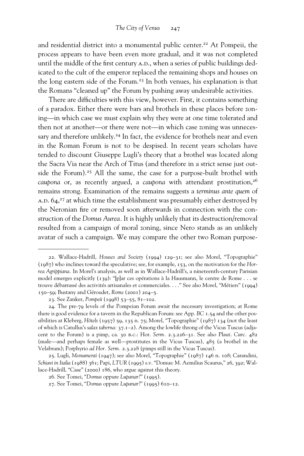and residential district into a monumental public center.<sup>22</sup> At Pompeii, the process appears to have been even more gradual, and it was not completed until the middle of the first century A.D., when a series of public buildings dedicated to the cult of the emperor replaced the remaining shops and houses on the long eastern side of the Forum.23 In both venues, his explanation is that the Romans "cleaned up" the Forum by pushing away undesirable activities.

There are difficulties with this view, however. First, it contains something of a paradox. Either there were bars and brothels in these places before zoning—in which case we must explain why they were at one time tolerated and then not at another—or there were not—in which case zoning was unnecessary and therefore unlikely.<sup>24</sup> In fact, the evidence for brothels near and even in the Roman Forum is not to be despised. In recent years scholars have tended to discount Giuseppe Lugli's theory that a brothel was located along the Sacra Via near the Arch of Titus (and therefore in a strict sense just outside the Forum).<sup>25</sup> All the same, the case for a purpose-built brothel with *caupona* or, as recently argued, a *caupona* with attendant prostitution,<sup>26</sup> remains strong. Examination of the remains suggests a *terminus ante quem* of A.D.  $64<sup>27</sup>$  at which time the establishment was presumably either destroyed by the Neronian fire or removed soon afterwards in connection with the construction of the *Domus Aurea.* It is highly unlikely that its destruction/removal resulted from a campaign of moral zoning, since Nero stands as an unlikely avatar of such a campaign. We may compare the other two Roman purpose-

<sup>22.</sup> Wallace-Hadrill, *Houses and Society* (1994) 129–31; see also Morel, "Topographie" (1987) who inclines toward the speculative; see, for example, 153, on the motivation for the *Horrea Agrippiana.* In Morel's analysis, as well as in Wallace-Hadrill's, a nineteenth-century Parisian model emerges explicitly (139): "[p]ar ces opérations à la Hausmann, le centre de Rome . . . se trouve débarrassé des activités artisanales et commerciales. . . ." See also Morel, "Métiers" (1994) 150–59; Bustany and Géroudet, *Rome* (2001) 204–5.

<sup>23.</sup> See Zanker, *Pompeii* (1998) 53–55, 81–102.

<sup>24.</sup> The pre-79 levels of the Pompeian Forum await the necessary investigation; at Rome there is good evidence for a tavern in the Republican Forum: see App. *BC* 1.54 and the other possibilities at Kleberg, *Hôtels* (1957) 59, 135 n. 75; Morel, "Topographie" (1987) 134 (not the least of which is Catullus's *salax taberna:* 37.1–2). Among the lowlife throng of the Vicus Tuscus (adjacent to the Forum) is a pimp, ca. 30 b.c.: Hor. *Serm.* 2.3.226–31. See also Plaut. *Curc.* 482 (male—and perhaps female as well—prostitutes in the Vicus Tuscus), 485 (a brothel in the Velabrum); Porphyrio *ad Hor. Serm.* 2.3.228 (pimps still in the Vicus Tuscus).

<sup>25.</sup> Lugli, *Monumenti* (1947); see also Morel, "Topographie" (1987) 146 n. 108; Carandini, *Schiavi in Italia* (1988) 361; Papi, *LTUR* (1995) s.v. "Domus: M. Aemilius Scaurus," 26, 392; Wallace-Hadrill, "Case" (2000) 186, who argue against this theory.

<sup>26.</sup> See Tomei, "*Domus* oppure *Lupanar*?" (1995).

<sup>27.</sup> See Tomei, "*Domus* oppure *Lupanar*?" (1995) 610–12.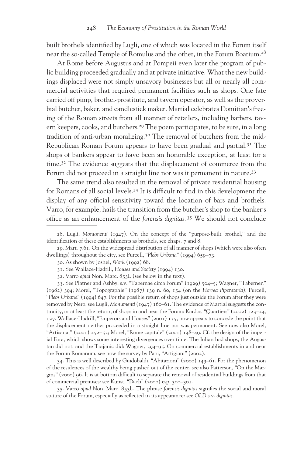built brothels identified by Lugli, one of which was located in the Forum itself near the so-called Temple of Romulus and the other, in the Forum Boarium.28

At Rome before Augustus and at Pompeii even later the program of public building proceeded gradually and at private initiative. What the new buildings displaced were not simply unsavory businesses but all or nearly all commercial activities that required permanent facilities such as shops. One fate carried off pimp, brothel-prostitute, and tavern operator, as well as the proverbial butcher, baker, and candlestick maker. Martial celebrates Domitian's freeing of the Roman streets from all manner of retailers, including barbers, tavern keepers, cooks, and butchers.<sup>29</sup> The poem participates, to be sure, in a long tradition of anti-urban moralizing.<sup>30</sup> The removal of butchers from the mid-Republican Roman Forum appears to have been gradual and partial.31 The shops of bankers appear to have been an honorable exception, at least for a time.<sup>32</sup> The evidence suggests that the displacement of commerce from the Forum did not proceed in a straight line nor was it permanent in nature.<sup>33</sup>

The same trend also resulted in the removal of private residential housing for Romans of all social levels.<sup>34</sup> It is difficult to find in this development the display of any official sensitivity toward the location of bars and brothels. Varro, for example, hails the transition from the butcher's shop to the banker's office as an enhancement of the *forensis dignitas*.<sup>35</sup> We should not conclude

33. See Platner and Ashby, s.v. "Tabernae circa Forum" (1929) 504–5; Wagner, "Tabernen" (1982) 394; Morel, "Topographie" (1987) 139 n. 60, 154 (on the *Horrea Piperataria*); Purcell, "*Plebs Urbana*" (1994) 647. For the possible return of shops just outside the Forum after they were removed by Nero, see Lugli, *Monumenti* (1947) 160–61. The evidence of Martial suggests the continuity, or at least the return, of shops in and near the Forum: Kardos, "Quartiers" (2002) 123–24, 127. Wallace-Hadrill, "Emperors and Houses" (2001) 135, now appears to concede the point that the displacement neither proceeded in a straight line nor was permanent. See now also Morel, "Artisanat" (2001) 252–53; Morel, "Rome capitale" (2001) 148–49. Cf. the design of the imperial Fora, which shows some interesting divergences over time. The Julian had shops, the Augustan did not, and the Trajanic did: Wagner, 394–95. On commercial establishments in and near the Forum Romanum, see now the survey by Papi, "Artigiani" (2002).

34. This is well described by Guidobaldi, "Abitazioni" (2000) 143–61. For the phenomenon of the residences of the wealthy being pushed out of the center, see also Patterson, "On the Margins" (2000) 96. It is at bottom difficult to separate the removal of residential buildings from that of commercial premises: see Kunst, "Dach" (2000) esp. 300–301.

35. Varro *apud* Non. Marc. 853L. The phrase *forensis dignitas* signifies the social and moral stature of the Forum, especially as reflected in its appearance: see OLD s.v. *dignitas*.

<sup>28.</sup> Lugli, *Monumenti* (1947). On the concept of the "purpose-built brothel," and the identification of these establishments as brothels, see chaps. 7 and 8.

<sup>29.</sup> Mart. 7.61. On the widespread distribution of all manner of shops (which were also often dwellings) throughout the city, see Purcell, "*Plebs Urbana*" (1994) 659–73.

<sup>30.</sup> As shown by Joshel, *Work* (1992) 68.

<sup>31.</sup> See Wallace-Hadrill, *Houses and Society* (1994) 130.

<sup>32.</sup> Varro *apud* Non. Marc. 853L (see below in the text).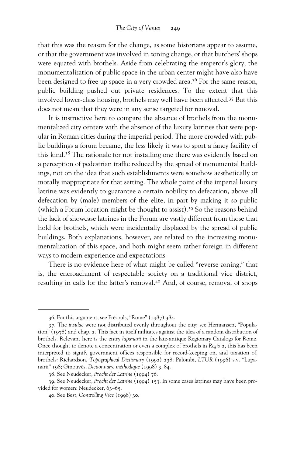that this was the reason for the change, as some historians appear to assume, or that the government was involved in zoning change, or that butchers' shops were equated with brothels. Aside from celebrating the emperor's glory, the monumentalization of public space in the urban center might have also have been designed to free up space in a very crowded area.<sup>36</sup> For the same reason, public building pushed out private residences. To the extent that this involved lower-class housing, brothels may well have been affected.37 But this does not mean that they were in any sense targeted for removal.

It is instructive here to compare the absence of brothels from the monumentalized city centers with the absence of the luxury latrines that were popular in Roman cities during the imperial period. The more crowded with public buildings a forum became, the less likely it was to sport a fancy facility of this kind.38 The rationale for not installing one there was evidently based on a perception of pedestrian traffic reduced by the spread of monumental buildings, not on the idea that such establishments were somehow aesthetically or morally inappropriate for that setting. The whole point of the imperial luxury latrine was evidently to guarantee a certain nobility to defecation, above all defecation by (male) members of the elite, in part by making it so public (which a Forum location might be thought to assist).39 So the reasons behind the lack of showcase latrines in the Forum are vastly different from those that hold for brothels, which were incidentally displaced by the spread of public buildings. Both explanations, however, are related to the increasing monumentalization of this space, and both might seem rather foreign in different ways to modern experience and expectations.

There is no evidence here of what might be called "reverse zoning," that is, the encroachment of respectable society on a traditional vice district, resulting in calls for the latter's removal.<sup>40</sup> And, of course, removal of shops

<sup>36.</sup> For this argument, see Frézouls, "Rome" (1987) 384.

<sup>37.</sup> The *insulae* were not distributed evenly throughout the city: see Hermansen, "Population" (1978) and chap. 2. This fact in itself militates against the idea of a random distribution of brothels. Relevant here is the entry *lupanarii* in the late-antique Regionary Catalogs for Rome. Once thought to denote a concentration or even a complex of brothels in *Regio* 2, this has been interpreted to signify government offices responsible for record-keeping on, and taxation of, brothels: Richardson, *Topographical Dictionary* (1992) 238; Palombi, *LTUR* (1996) s.v. "Lupanarii" 198; Ginouvès, *Dictionnaire méthodique* (1998) 3, 84.

<sup>38.</sup> See Neudecker, *Pracht der Latrine* (1994) 76.

<sup>39.</sup> See Neudecker, *Pracht der Latrine* (1994) 153. In some cases latrines may have been provided for women: Neudecker, 63–65.

<sup>40.</sup> See Best, *Controlling Vice* (1998) 30.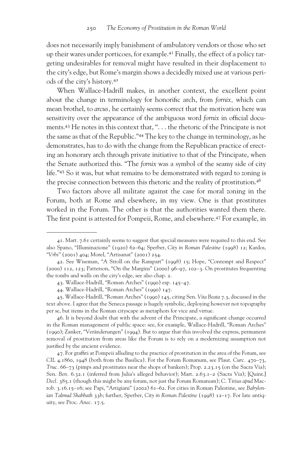does not necessarily imply banishment of ambulatory vendors or those who set up their wares under porticoes, for example.41 Finally, the effect of a policy targeting undesirables for removal might have resulted in their displacement to the city's edge, but Rome's margin shows a decidedly mixed use at various periods of the city's history.42

When Wallace-Hadrill makes, in another context, the excellent point about the change in terminology for honorific arch, from *fornix*, which can mean brothel, to *arcus,* he certainly seems correct that the motivation here was sensitivity over the appearance of the ambiguous word *fornix* in official documents.43 He notes in this context that, ". . . the rhetoric of the Principate is not the same as that of the Republic."44 The key to the change in terminology, as he demonstrates, has to do with the change from the Republican practice of erecting an honorary arch through private initiative to that of the Principate, when the Senate authorized this. "The *fornix* was a symbol of the seamy side of city life."45 So it was, but what remains to be demonstrated with regard to zoning is the precise connection between this rhetoric and the reality of prostitution.<sup>46</sup>

Two factors above all militate against the case for moral zoning in the Forum, both at Rome and elsewhere, in my view. One is that prostitutes worked in the Forum. The other is that the authorities wanted them there. The first point is attested for Pompeii, Rome, and elsewhere.<sup>47</sup> For example, in

45. Wallace-Hadrill, "Roman Arches" (1990) 145, citing Sen. *Vita Beata* 7.3, discussed in the text above. I agree that the Seneca passage is hugely symbolic, deploying however not topography per se, but items in the Roman cityscape as metaphors for vice and virtue.

46. It is beyond doubt that with the advent of the Principate, a significant change occurred in the Roman management of public space: see, for example, Wallace-Hadrill, "Roman Arches" (1990); Zanker, "Veränderungen" (1994). But to argue that this involved the express, permanent removal of prostitution from areas like the Forum is to rely on a modernizing assumption not justified by the ancient evidence.

47. For graffiti at Pompeii alluding to the practice of prostitution in the area of the Forum, see *CIL* 4.1860, 1948 (both from the Basilica). For the Forum Romanum, see Plaut. *Curc.* 470–73, *Truc.* 66–73 (pimps and prostitutes near the shops of bankers); Prop. 2.23.15 (on the Sacra Via); Sen. *Ben.* 6.32.1 (inferred from Julia's alleged behavior); Mart. 2.63.1-2 (Sacra Via); [Quint.] *Decl.* 385.1 (though this might be any forum, not just the Forum Romanum); C. Titius *apud* Macrob. 3.16.15–16; see Papi, "Artigiani" (2002) 61–62. For cities in Roman Palestine, see *Babylonian Talmud Shabbath* 33b; further, Sperber, *City in Roman Palestine* (1998) 12–17. For late antiquity, see Proc. *Anec.* 17.5.

<sup>41.</sup> Mart. 7.61 certainly seems to suggest that special measures were required to this end. See also Spano, "Illuminazione" (1920) 62–64; Sperber, *City in Roman Palestine* (1998) 12; Kardos, "*Vrbs*" (2001) 404; Morel, "Artisanat" (2001) 254.

<sup>42.</sup> See Wiseman, "A Stroll on the Rampart" (1998) 15; Hope, "Contempt and Respect" (2000) 112, 123; Patterson, "On the Margins" (2000) 96–97, 102–3. On prostitutes frequenting the tombs and walls on the city's edge, see also chap. 2.

<sup>43.</sup> Wallace-Hadrill, "Roman Arches" (1990) esp. 145–47.

<sup>44.</sup> Wallace-Hadrill, "Roman Arches" (1990) 147.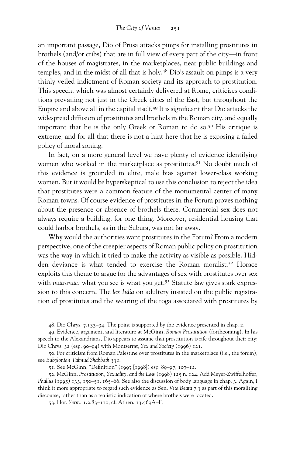an important passage, Dio of Prusa attacks pimps for installing prostitutes in brothels (and/or cribs) that are in full view of every part of the city—in front of the houses of magistrates, in the marketplaces, near public buildings and temples, and in the midst of all that is holy. $48$  Dio's assault on pimps is a very thinly veiled indictment of Roman society and its approach to prostitution. This speech, which was almost certainly delivered at Rome, criticizes conditions prevailing not just in the Greek cities of the East, but throughout the Empire and above all in the capital itself.<sup>49</sup> It is significant that Dio attacks the widespread diffusion of prostitutes and brothels in the Roman city, and equally important that he is the only Greek or Roman to do so.<sup>50</sup> His critique is extreme, and for all that there is not a hint here that he is exposing a failed policy of moral zoning.

In fact, on a more general level we have plenty of evidence identifying women who worked in the marketplace as prostitutes.<sup>51</sup> No doubt much of this evidence is grounded in elite, male bias against lower-class working women. But it would be hyperskeptical to use this conclusion to reject the idea that prostitutes were a common feature of the monumental center of many Roman towns. Of course evidence of prostitutes in the Forum proves nothing about the presence or absence of brothels there. Commercial sex does not always require a building, for one thing. Moreover, residential housing that could harbor brothels, as in the Subura, was not far away.

Why would the authorities want prostitutes in the Forum? From a modern perspective, one of the creepier aspects of Roman public policy on prostitution was the way in which it tried to make the activity as visible as possible. Hidden deviance is what tended to exercise the Roman moralist.<sup>52</sup> Horace exploits this theme to argue for the advantages of sex with prostitutes over sex with *matronae*: what you see is what you get.<sup>53</sup> Statute law gives stark expression to this concern. The *lex Iulia* on adultery insisted on the public registration of prostitutes and the wearing of the toga associated with prostitutes by

<sup>48.</sup> Dio Chrys. 7.133–34. The point is supported by the evidence presented in chap. 2.

<sup>49.</sup> Evidence, argument, and literature at McGinn, *Roman Prostitution* (forthcoming). In his speech to the Alexandrians, Dio appears to assume that prostitution is rife throughout their city: Dio Chrys. 32 (esp. 90–94) with Montserrat, *Sex and Society* (1996) 121.

<sup>50.</sup> For criticism from Roman Palestine over prostitutes in the marketplace (i.e., the forum), see *Babylonian Talmud Shabbath* 33b.

<sup>51.</sup> See McGinn, "Definition" (1997 [1998]) esp. 89-97, 107-12.

<sup>52.</sup> McGinn, *Prostitution, Sexuality, and the Law* (1998) 125 n. 124. Add Meyer-Zwiffelhoffer, *Phallus* (1995) 133, 150–51, 165–66. See also the discussion of body language in chap. 3. Again, I think it more appropriate to regard such evidence as Sen. *Vita Beata* 7.3 as part of this moralizing discourse, rather than as a realistic indication of where brothels were located.

<sup>53.</sup> Hor. *Serm.* 1.2.83–110; cf. Athen. 13.569A–F.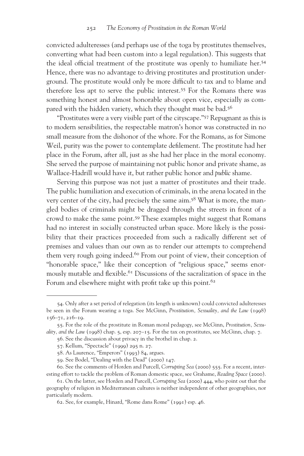convicted adulteresses (and perhaps use of the toga by prostitutes themselves, converting what had been custom into a legal regulation). This suggests that the ideal official treatment of the prostitute was openly to humiliate her.<sup>54</sup> Hence, there was no advantage to driving prostitutes and prostitution underground. The prostitute would only be more difficult to tax and to blame and therefore less apt to serve the public interest.55 For the Romans there was something honest and almost honorable about open vice, especially as compared with the hidden variety, which they thought *must* be bad.56

"Prostitutes were a very visible part of the cityscape."57 Repugnant as this is to modern sensibilities, the respectable matron's honor was constructed in no small measure from the dishonor of the whore. For the Romans, as for Simone Weil, purity was the power to contemplate defilement. The prostitute had her place in the Forum, after all, just as she had her place in the moral economy. She served the purpose of maintaining not public honor and private shame, as Wallace-Hadrill would have it, but rather public honor and *public* shame.

Serving this purpose was not just a matter of prostitutes and their trade. The public humiliation and execution of criminals, in the arena located in the very center of the city, had precisely the same aim.<sup>58</sup> What is more, the mangled bodies of criminals might be dragged through the streets in front of a crowd to make the same point.59 These examples might suggest that Romans had no interest in socially constructed urban space. More likely is the possibility that their practices proceeded from such a radically different set of premises and values than our own as to render our attempts to comprehend them very rough going indeed.<sup>60</sup> From our point of view, their conception of "honorable space," like their conception of "religious space," seems enormously mutable and flexible.<sup>61</sup> Discussions of the sacralization of space in the Forum and elsewhere might with profit take up this point.<sup>62</sup>

<sup>54.</sup> Only after a set period of relegation (its length is unknown) could convicted adulteresses be seen in the Forum wearing a toga. See McGinn, *Prostitution, Sexuality, and the Law* (1998) 156–71, 216–19.

<sup>55.</sup> For the role of the prostitute in Roman moral pedagogy, see McGinn, *Prostitution, Sexuality, and the Law* (1998) chap. 5, esp. 207–15. For the tax on prostitutes, see McGinn, chap. 7.

<sup>56.</sup> See the discussion about privacy in the brothel in chap. 2.

<sup>57.</sup> Kellum, "Spectacle" (1999) 295 n. 27.

<sup>58.</sup> As Laurence, "Emperors" (1993) 84, argues.

<sup>59.</sup> See Bodel, "Dealing with the Dead" (2000) 147.

<sup>60.</sup> See the comments of Horden and Purcell, *Corrupting Sea* (2000) 555. For a recent, interesting effort to tackle the problem of Roman domestic space, see Grahame, *Reading Space* (2000).

<sup>61.</sup> On the latter, see Horden and Purcell, *Corrupting Sea* (2000) 444, who point out that the geography of religion in Mediterranean cultures is neither independent of other geographies, nor particularly modern.

<sup>62.</sup> See, for example, Hinard, "Rome dans Rome" (1991) esp. 46.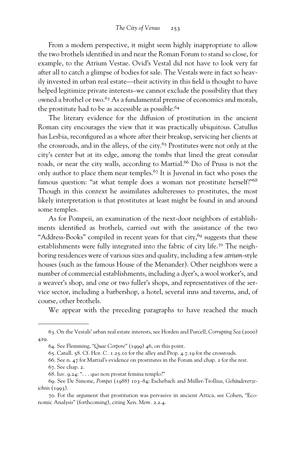From a modern perspective, it might seem highly inappropriate to allow the two brothels identified in and near the Roman Forum to stand so close, for example, to the Atrium Vestae. Ovid's Vestal did not have to look very far after all to catch a glimpse of bodies for sale. The Vestals were in fact so heavily invested in urban real estate—their activity in this field is thought to have helped legitimize private interests–we cannot exclude the possibility that they owned a brothel or two.<sup>63</sup> As a fundamental premise of economics and morals, the prostitute had to be as accessible as possible.<sup>64</sup>

The literary evidence for the diffusion of prostitution in the ancient Roman city encourages the view that it was practically ubiquitous. Catullus has Lesbia, reconfigured as a whore after their breakup, servicing her clients at the crossroads, and in the alleys, of the city.<sup>65</sup> Prostitutes were not only at the city's center but at its edge, among the tombs that lined the great consular roads, or near the city walls, according to Martial.<sup>66</sup> Dio of Prusa is not the only author to place them near temples.<sup>67</sup> It is Juvenal in fact who poses the famous question: "at what temple does a woman not prostitute herself."<sup>68</sup> Though in this context he assimilates adulteresses to prostitutes, the most likely interpretation is that prostitutes at least might be found in and around some temples.

As for Pompeii, an examination of the next-door neighbors of establishments identified as brothels, carried out with the assistance of the two "Address-Books" compiled in recent years for that city,<sup>69</sup> suggests that these establishments were fully integrated into the fabric of city life.<sup>70</sup> The neighboring residences were of various sizes and quality, including a few *atrium*-style houses (such as the famous House of the Menander). Other neighbors were a number of commercial establishments, including a dyer's, a wool worker's, and a weaver's shop, and one or two fuller's shops, and representatives of the service sector, including a barbershop, a hotel, several inns and taverns, and, of course, other brothels.

We appear with the preceding paragraphs to have reached the much

<sup>63.</sup> On the Vestals' urban real estate interests, see Horden and Purcell, *Corrupting Sea* (2000) 429.

<sup>64.</sup> See Flemming, "*Quae Corpore*" (1999) 46, on this point.

<sup>65.</sup> Catull. 58. Cf. Hor. *C.* 1.25.10 for the alley and Prop. 4.7.19 for the crossroads.

<sup>66.</sup> See n. 47 for Martial's evidence on prostitutes in the Forum and chap. 2 for the rest.

<sup>67.</sup> See chap. 2.

<sup>68.</sup> Iuv. 9.24: ". . . quo non prostat femina templo?"

<sup>69.</sup> See De Simone, *Pompei* (1988) 103–84; Eschebach and Müller-Trollius, *Gebäudeverzeichnis* (1993).

<sup>70.</sup> For the argument that prostitution was pervasive in ancient Attica, see Cohen, "Economic Analysis" (forthcoming), citing Xen. *Mem.* 2.2.4.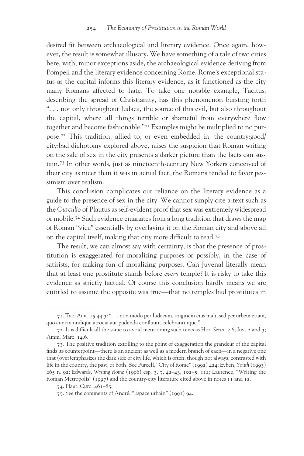desired fit between archaeological and literary evidence. Once again, however, the result is somewhat illusory. We have something of a tale of two cities here, with, minor exceptions aside, the archaeological evidence deriving from Pompeii and the literary evidence concerning Rome. Rome's exceptional status as the capital informs this literary evidence, as it functioned as the city many Romans affected to hate. To take one notable example, Tacitus, describing the spread of Christianity, has this phenomenon bursting forth ". . . not only throughout Judaea, the source of this evil, but also throughout the capital, where all things terrible or shameful from everywhere flow together and become fashionable."71 Examples might be multiplied to no purpose.72 This tradition, allied to, or even embedded in, the country:good/ city:bad dichotomy explored above, raises the suspicion that Roman writing on the sale of sex in the city presents a darker picture than the facts can sustain.73 In other words, just as nineteenth-century New Yorkers conceived of their city as nicer than it was in actual fact, the Romans tended to favor pessimism over realism.

This conclusion complicates our reliance on the literary evidence as a guide to the presence of sex in the city. We cannot simply cite a text such as the *Curculio* of Plautus as self-evident proof that sex was extremely widespread or mobile.74 Such evidence emanates from a long tradition that draws the map of Roman "vice" essentially by overlaying it on the Roman city and above all on the capital itself, making that city more difficult to read.<sup>75</sup>

The result, we can almost say with certainty, is that the presence of prostitution is exaggerated for moralizing purposes or possibly, in the case of satirists, for making fun of moralizing purposes. Can Juvenal literally mean that at least one prostitute stands before *every* temple? It is risky to take this evidence as strictly factual. Of course this conclusion hardly means we are entitled to assume the opposite was true—that no temples had prostitutes in

<sup>71.</sup> Tac. *Ann.* 15.44.3: ". . . non modo per Iudaeam, originem eius mali, sed per urbem etiam, quo cuncta undique atrocia aut pudenda confluunt celebranturque."

<sup>72.</sup> It is difficult all the same to avoid mentioning such texts as Hor. *Serm.* 2.6; Iuv. 2 and 3; Amm. Marc. 14.6.

<sup>73.</sup> The positive tradition extolling to the point of exaggeration the grandeur of the capital finds its counterpoint—there is an ancient as well as a modern branch of each—in a negative one that (over)emphasizes the dark side of city life, which is often, though not always, contrasted with life in the country, the past, or both. See Purcell, "City of Rome" (1992) 424; Eyben, *Youth* (1993) 265 n. 92; Edwards, *Writing Rome* (1996) esp. 3, 7, 42–43, 102–5, 112; Laurence, "Writing the Roman Metropolis" (1997) and the country-city literature cited above in notes 11 and 12.

<sup>74.</sup> Plaut. *Curc.* 461–85.

<sup>75.</sup> See the comments of André, "Espace urbain" (1991) 94.